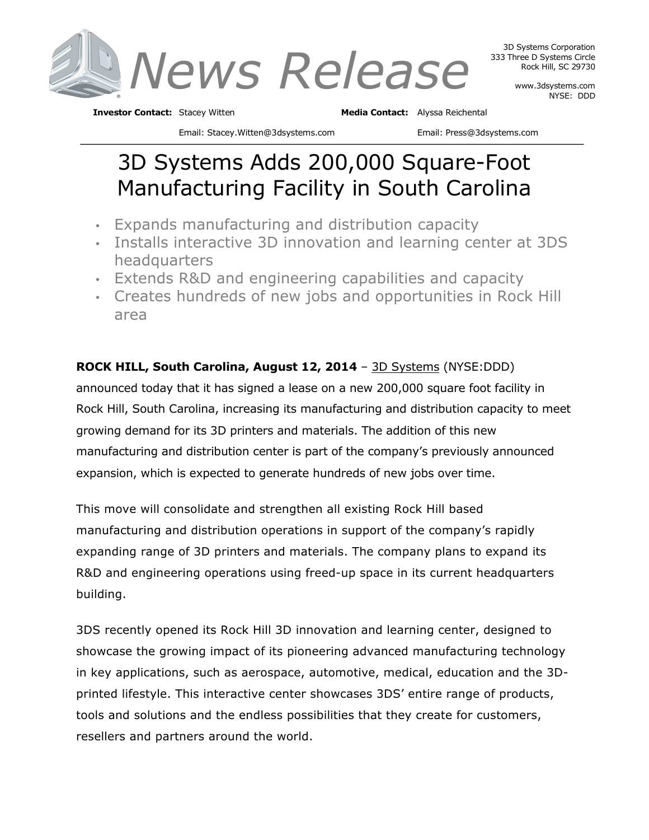

www.3dsystems.com NYSE: DDD

**Investor Contact:** Stacey Witten **Media Contact:** Alyssa Reichental

Email: Stacey.Witten@3dsystems.com Email: Press@3dsystems.com

# 3D Systems Adds 200,000 Square-Foot Manufacturing Facility in South Carolina

- Expands manufacturing and distribution capacity
- Installs interactive 3D innovation and learning center at 3DS headquarters
- Extends R&D and engineering capabilities and capacity
- Creates hundreds of new jobs and opportunities in Rock Hill area

# **ROCK HILL, South Carolina, August 12, 2014** – 3D Systems (NYSE:DDD)

announced today that it has signed a lease on a new 200,000 square foot facility in Rock Hill, South Carolina, increasing its manufacturing and distribution capacity to meet growing demand for its 3D printers and materials. The addition of this new manufacturing and distribution center is part of the company's previously announced expansion, which is expected to generate hundreds of new jobs over time.

This move will consolidate and strengthen all existing Rock Hill based manufacturing and distribution operations in support of the company's rapidly expanding range of 3D printers and materials. The company plans to expand its R&D and engineering operations using freed-up space in its current headquarters building.

3DS recently opened its Rock Hill 3D innovation and learning center, designed to showcase the growing impact of its pioneering advanced manufacturing technology in key applications, such as aerospace, automotive, medical, education and the 3Dprinted lifestyle. This interactive center showcases 3DS' entire range of products, tools and solutions and the endless possibilities that they create for customers, resellers and partners around the world.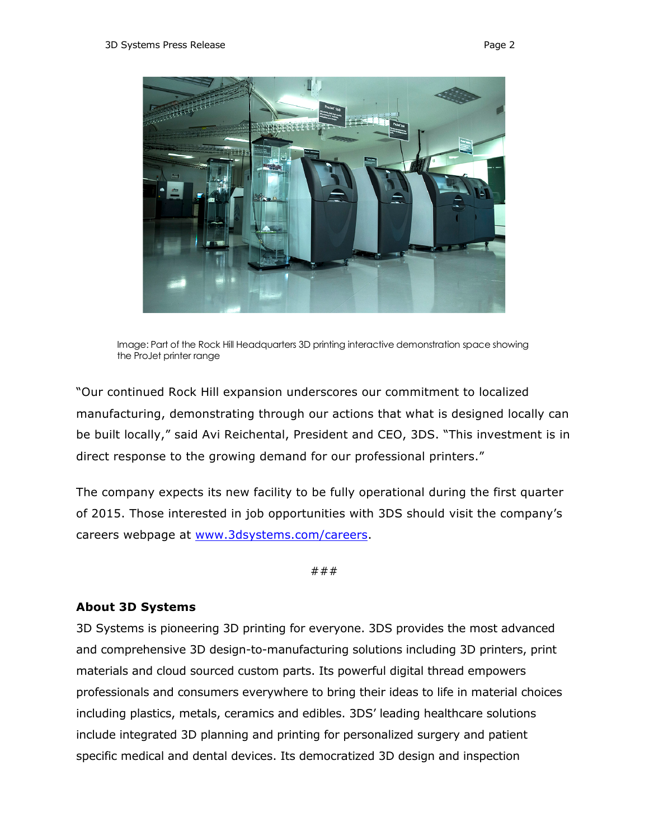

Image: Part of the Rock Hill Headquarters 3D printing interactive demonstration space showing the ProJet printer range

"Our continued Rock Hill expansion underscores our commitment to localized manufacturing, demonstrating through our actions that what is designed locally can be built locally," said Avi Reichental, President and CEO, 3DS. "This investment is in direct response to the growing demand for our professional printers."

The company expects its new facility to be fully operational during the first quarter of 2015. Those interested in job opportunities with 3DS should visit the company's careers webpage at www.3dsystems.com/careers.

###

#### **About 3D Systems**

3D Systems is pioneering 3D printing for everyone. 3DS provides the most advanced and comprehensive 3D design-to-manufacturing solutions including 3D printers, print materials and cloud sourced custom parts. Its powerful digital thread empowers professionals and consumers everywhere to bring their ideas to life in material choices including plastics, metals, ceramics and edibles. 3DS' leading healthcare solutions include integrated 3D planning and printing for personalized surgery and patient specific medical and dental devices. Its democratized 3D design and inspection